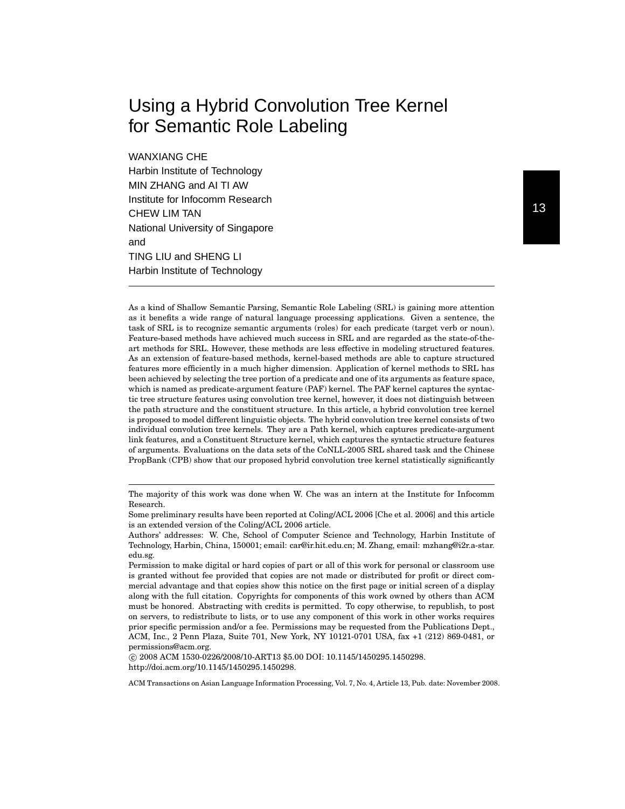# Using a Hybrid Convolution Tree Kernel for Semantic Role Labeling

WANXIANG CHE Harbin Institute of Technology MIN ZHANG and AI TI AW Institute for Infocomm Research CHEW LIM TAN National University of Singapore and TING LIU and SHENG LI Harbin Institute of Technology

As a kind of Shallow Semantic Parsing, Semantic Role Labeling (SRL) is gaining more attention as it benefits a wide range of natural language processing applications. Given a sentence, the task of SRL is to recognize semantic arguments (roles) for each predicate (target verb or noun). Feature-based methods have achieved much success in SRL and are regarded as the state-of-theart methods for SRL. However, these methods are less effective in modeling structured features. As an extension of feature-based methods, kernel-based methods are able to capture structured features more efficiently in a much higher dimension. Application of kernel methods to SRL has been achieved by selecting the tree portion of a predicate and one of its arguments as feature space, which is named as predicate-argument feature (PAF) kernel. The PAF kernel captures the syntactic tree structure features using convolution tree kernel, however, it does not distinguish between the path structure and the constituent structure. In this article, a hybrid convolution tree kernel is proposed to model different linguistic objects. The hybrid convolution tree kernel consists of two individual convolution tree kernels. They are a Path kernel, which captures predicate-argument link features, and a Constituent Structure kernel, which captures the syntactic structure features of arguments. Evaluations on the data sets of the CoNLL-2005 SRL shared task and the Chinese PropBank (CPB) show that our proposed hybrid convolution tree kernel statistically significantly

 c 2008 ACM 1530-0226/2008/10-ART13 \$5.00 DOI: 10.1145/1450295.1450298. http://doi.acm.org/10.1145/1450295.1450298.

The majority of this work was done when W. Che was an intern at the Institute for Infocomm Research.

Some preliminary results have been reported at Coling/ACL 2006 [Che et al. 2006] and this article is an extended version of the Coling/ACL 2006 article.

Authors' addresses: W. Che, School of Computer Science and Technology, Harbin Institute of Technology, Harbin, China, 150001; email: car@ir.hit.edu.cn; M. Zhang, email: mzhang@i2r.a-star. edu.sg.

Permission to make digital or hard copies of part or all of this work for personal or classroom use is granted without fee provided that copies are not made or distributed for profit or direct commercial advantage and that copies show this notice on the first page or initial screen of a display along with the full citation. Copyrights for components of this work owned by others than ACM must be honored. Abstracting with credits is permitted. To copy otherwise, to republish, to post on servers, to redistribute to lists, or to use any component of this work in other works requires prior specific permission and/or a fee. Permissions may be requested from the Publications Dept., ACM, Inc., 2 Penn Plaza, Suite 701, New York, NY 10121-0701 USA, fax +1 (212) 869-0481, or permissions@acm.org.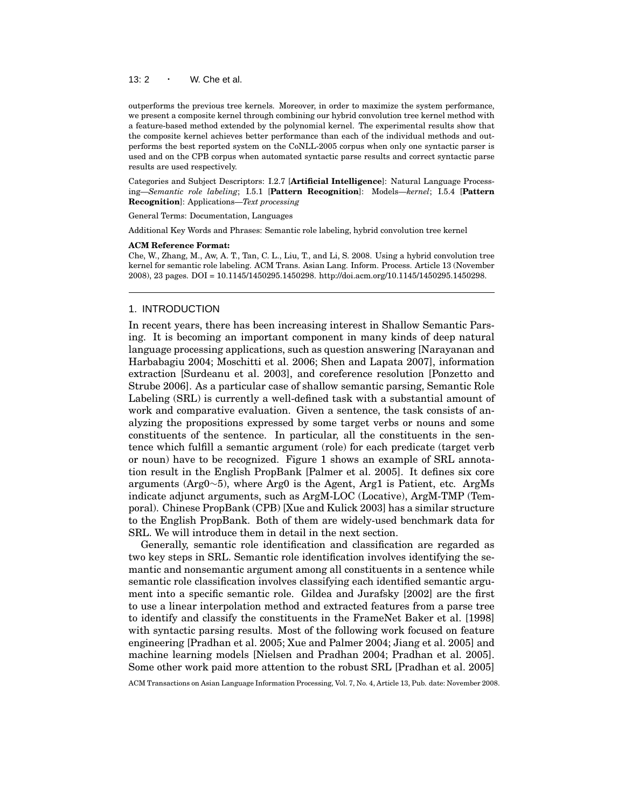13: 2 · W. Che et al.

outperforms the previous tree kernels. Moreover, in order to maximize the system performance, we present a composite kernel through combining our hybrid convolution tree kernel method with a feature-based method extended by the polynomial kernel. The experimental results show that the composite kernel achieves better performance than each of the individual methods and outperforms the best reported system on the CoNLL-2005 corpus when only one syntactic parser is used and on the CPB corpus when automated syntactic parse results and correct syntactic parse results are used respectively.

Categories and Subject Descriptors: I.2.7 [**Artificial Intelligence**]: Natural Language Processing—*Semantic role labeling*; I.5.1 [**Pattern Recognition**]: Models—*kernel*; I.5.4 [**Pattern Recognition**]: Applications—*Text processing*

General Terms: Documentation, Languages

Additional Key Words and Phrases: Semantic role labeling, hybrid convolution tree kernel

#### **ACM Reference Format:**

Che, W., Zhang, M., Aw, A. T., Tan, C. L., Liu, T., and Li, S. 2008. Using a hybrid convolution tree kernel for semantic role labeling. ACM Trans. Asian Lang. Inform. Process. Article 13 (November 2008), 23 pages. DOI = 10.1145/1450295.1450298. http://doi.acm.org/10.1145/1450295.1450298.

## 1. INTRODUCTION

In recent years, there has been increasing interest in Shallow Semantic Parsing. It is becoming an important component in many kinds of deep natural language processing applications, such as question answering [Narayanan and Harbabagiu 2004; Moschitti et al. 2006; Shen and Lapata 2007], information extraction [Surdeanu et al. 2003], and coreference resolution [Ponzetto and Strube 2006]. As a particular case of shallow semantic parsing, Semantic Role Labeling (SRL) is currently a well-defined task with a substantial amount of work and comparative evaluation. Given a sentence, the task consists of analyzing the propositions expressed by some target verbs or nouns and some constituents of the sentence. In particular, all the constituents in the sentence which fulfill a semantic argument (role) for each predicate (target verb or noun) have to be recognized. Figure 1 shows an example of SRL annotation result in the English PropBank [Palmer et al. 2005]. It defines six core arguments (Arg0∼5), where Arg0 is the Agent, Arg1 is Patient, etc. ArgMs indicate adjunct arguments, such as ArgM-LOC (Locative), ArgM-TMP (Temporal). Chinese PropBank (CPB) [Xue and Kulick 2003] has a similar structure to the English PropBank. Both of them are widely-used benchmark data for SRL. We will introduce them in detail in the next section.

Generally, semantic role identification and classification are regarded as two key steps in SRL. Semantic role identification involves identifying the semantic and nonsemantic argument among all constituents in a sentence while semantic role classification involves classifying each identified semantic argument into a specific semantic role. Gildea and Jurafsky [2002] are the first to use a linear interpolation method and extracted features from a parse tree to identify and classify the constituents in the FrameNet Baker et al. [1998] with syntactic parsing results. Most of the following work focused on feature engineering [Pradhan et al. 2005; Xue and Palmer 2004; Jiang et al. 2005] and machine learning models [Nielsen and Pradhan 2004; Pradhan et al. 2005]. Some other work paid more attention to the robust SRL [Pradhan et al. 2005]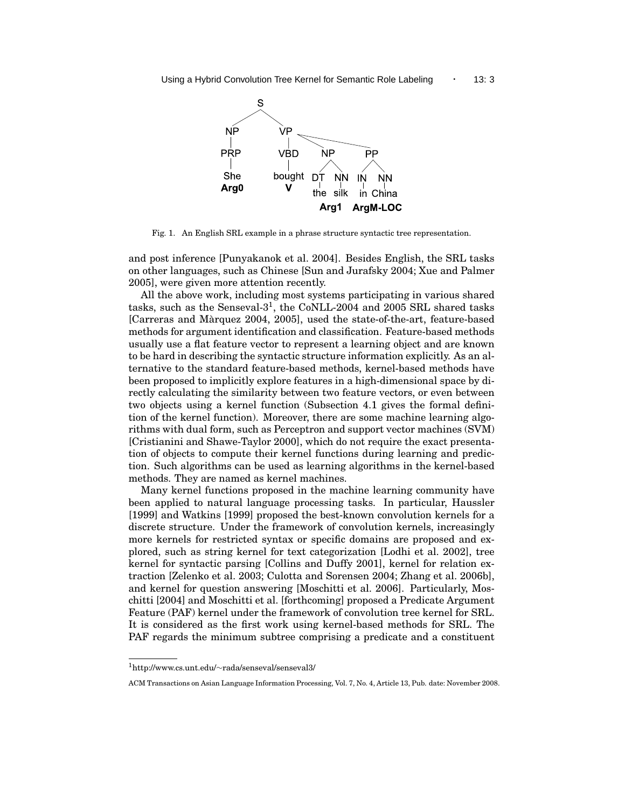

Fig. 1. An English SRL example in a phrase structure syntactic tree representation.

and post inference [Punyakanok et al. 2004]. Besides English, the SRL tasks on other languages, such as Chinese [Sun and Jurafsky 2004; Xue and Palmer 2005], were given more attention recently.

All the above work, including most systems participating in various shared tasks, such as the Senseval-3<sup>1</sup>, the CoNLL-2004 and 2005 SRL shared tasks [Carreras and Marquez 2004, 2005], used the state-of-the-art, feature-based ` methods for argument identification and classification. Feature-based methods usually use a flat feature vector to represent a learning object and are known to be hard in describing the syntactic structure information explicitly. As an alternative to the standard feature-based methods, kernel-based methods have been proposed to implicitly explore features in a high-dimensional space by directly calculating the similarity between two feature vectors, or even between two objects using a kernel function (Subsection 4.1 gives the formal definition of the kernel function). Moreover, there are some machine learning algorithms with dual form, such as Perceptron and support vector machines (SVM) [Cristianini and Shawe-Taylor 2000], which do not require the exact presentation of objects to compute their kernel functions during learning and prediction. Such algorithms can be used as learning algorithms in the kernel-based methods. They are named as kernel machines.

Many kernel functions proposed in the machine learning community have been applied to natural language processing tasks. In particular, Haussler [1999] and Watkins [1999] proposed the best-known convolution kernels for a discrete structure. Under the framework of convolution kernels, increasingly more kernels for restricted syntax or specific domains are proposed and explored, such as string kernel for text categorization [Lodhi et al. 2002], tree kernel for syntactic parsing [Collins and Duffy 2001], kernel for relation extraction [Zelenko et al. 2003; Culotta and Sorensen 2004; Zhang et al. 2006b], and kernel for question answering [Moschitti et al. 2006]. Particularly, Moschitti [2004] and Moschitti et al. [forthcoming] proposed a Predicate Argument Feature (PAF) kernel under the framework of convolution tree kernel for SRL. It is considered as the first work using kernel-based methods for SRL. The PAF regards the minimum subtree comprising a predicate and a constituent

<sup>1</sup>http://www.cs.unt.edu/∼rada/senseval/senseval3/

ACM Transactions on Asian Language Information Processing, Vol. 7, No. 4, Article 13, Pub. date: November 2008.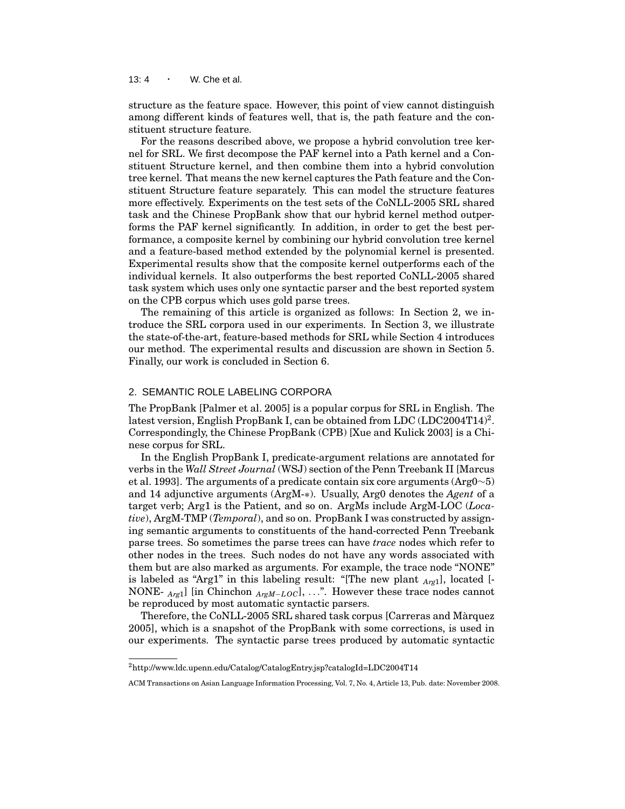## 13: 4 · W. Che et al.

structure as the feature space. However, this point of view cannot distinguish among different kinds of features well, that is, the path feature and the constituent structure feature.

For the reasons described above, we propose a hybrid convolution tree kernel for SRL. We first decompose the PAF kernel into a Path kernel and a Constituent Structure kernel, and then combine them into a hybrid convolution tree kernel. That means the new kernel captures the Path feature and the Constituent Structure feature separately. This can model the structure features more effectively. Experiments on the test sets of the CoNLL-2005 SRL shared task and the Chinese PropBank show that our hybrid kernel method outperforms the PAF kernel significantly. In addition, in order to get the best performance, a composite kernel by combining our hybrid convolution tree kernel and a feature-based method extended by the polynomial kernel is presented. Experimental results show that the composite kernel outperforms each of the individual kernels. It also outperforms the best reported CoNLL-2005 shared task system which uses only one syntactic parser and the best reported system on the CPB corpus which uses gold parse trees.

The remaining of this article is organized as follows: In Section 2, we introduce the SRL corpora used in our experiments. In Section 3, we illustrate the state-of-the-art, feature-based methods for SRL while Section 4 introduces our method. The experimental results and discussion are shown in Section 5. Finally, our work is concluded in Section 6.

#### 2. SEMANTIC ROLE LABELING CORPORA

The PropBank [Palmer et al. 2005] is a popular corpus for SRL in English. The latest version, English PropBank I, can be obtained from LDC (LDC2004T14)<sup>2</sup>. Correspondingly, the Chinese PropBank (CPB) [Xue and Kulick 2003] is a Chinese corpus for SRL.

In the English PropBank I, predicate-argument relations are annotated for verbs in the *Wall Street Journal* (WSJ) section of the Penn Treebank II [Marcus et al. 1993]. The arguments of a predicate contain six core arguments (Arg0∼5) and 14 adjunctive arguments (ArgM-∗). Usually, Arg0 denotes the *Agent* of a target verb; Arg1 is the Patient, and so on. ArgMs include ArgM-LOC (*Locative*), ArgM-TMP (*Temporal*), and so on. PropBank I was constructed by assigning semantic arguments to constituents of the hand-corrected Penn Treebank parse trees. So sometimes the parse trees can have *trace* nodes which refer to other nodes in the trees. Such nodes do not have any words associated with them but are also marked as arguments. For example, the trace node "NONE" is labeled as "Arg1" in this labeling result: "[The new plant *Arg*1], located [- NONE- *Arg*1] [in Chinchon *ArgM*−*LOC*], . . .". However these trace nodes cannot be reproduced by most automatic syntactic parsers.

Therefore, the CoNLL-2005 SRL shared task corpus [Carreras and Marquez ` 2005], which is a snapshot of the PropBank with some corrections, is used in our experiments. The syntactic parse trees produced by automatic syntactic

<sup>2</sup>http://www.ldc.upenn.edu/Catalog/CatalogEntry.jsp?catalogId=LDC2004T14

ACM Transactions on Asian Language Information Processing, Vol. 7, No. 4, Article 13, Pub. date: November 2008.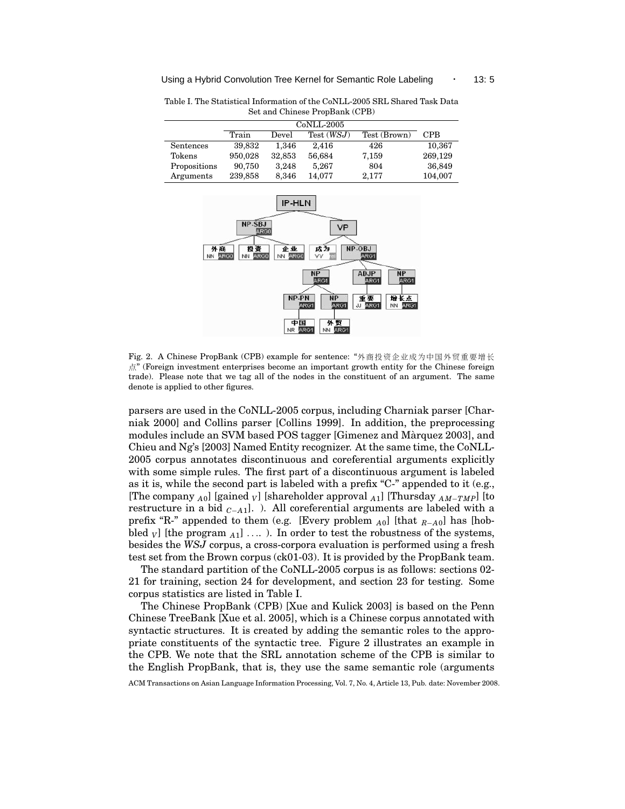Using a Hybrid Convolution Tree Kernel for Semantic Role Labeling • 13: 5

|              | CoNLL-2005 |        |           |              |            |
|--------------|------------|--------|-----------|--------------|------------|
|              | Train      | Devel  | Test(WSJ) | Test (Brown) | <b>CPB</b> |
| Sentences    | 39.832     | 1.346  | 2.416     | 426          | 10,367     |
| Tokens       | 950.028    | 32,853 | 56,684    | 7,159        | 269,129    |
| Propositions | 90.750     | 3.248  | 5.267     | 804          | 36,849     |
| Arguments    | 239,858    | 8,346  | 14.077    | 2,177        | 104,007    |

Table I. The Statistical Information of the CoNLL-2005 SRL Shared Task Data Set and Chinese PropBank (CPB)



Fig. 2. A Chinese PropBank (CPB) example for sentence: "外商投资企业成为中国外贸重要增长  $\mathbb{R}^n$  (Foreign investment enterprises become an important growth entity for the Chinese foreign trade). Please note that we tag all of the nodes in the constituent of an argument. The same denote is applied to other figures.

parsers are used in the CoNLL-2005 corpus, including Charniak parser [Charniak 2000] and Collins parser [Collins 1999]. In addition, the preprocessing modules include an SVM based POS tagger [Gimenez and Marquez 2003], and ` Chieu and Ng's [2003] Named Entity recognizer. At the same time, the CoNLL-2005 corpus annotates discontinuous and coreferential arguments explicitly with some simple rules. The first part of a discontinuous argument is labeled as it is, while the second part is labeled with a prefix "C-" appended to it (e.g., [The company *<sup>A</sup>*0] [gained *<sup>V</sup>* ] [shareholder approval *<sup>A</sup>*1] [Thursday *AM*−*TMP*] [to restructure in a bid *<sup>C</sup>*−*A*1]. ). All coreferential arguments are labeled with a prefix "R-" appended to them (e.g. [Every problem *<sup>A</sup>*0] [that *<sup>R</sup>*−*A*0] has [hobbled  $V$  [the program  $A_1$ ]  $\dots$  ). In order to test the robustness of the systems, besides the *WSJ* corpus, a cross-corpora evaluation is performed using a fresh test set from the Brown corpus (ck01-03). It is provided by the PropBank team.

The standard partition of the CoNLL-2005 corpus is as follows: sections 02- 21 for training, section 24 for development, and section 23 for testing. Some corpus statistics are listed in Table I.

The Chinese PropBank (CPB) [Xue and Kulick 2003] is based on the Penn Chinese TreeBank [Xue et al. 2005], which is a Chinese corpus annotated with syntactic structures. It is created by adding the semantic roles to the appropriate constituents of the syntactic tree. Figure 2 illustrates an example in the CPB. We note that the SRL annotation scheme of the CPB is similar to the English PropBank, that is, they use the same semantic role (arguments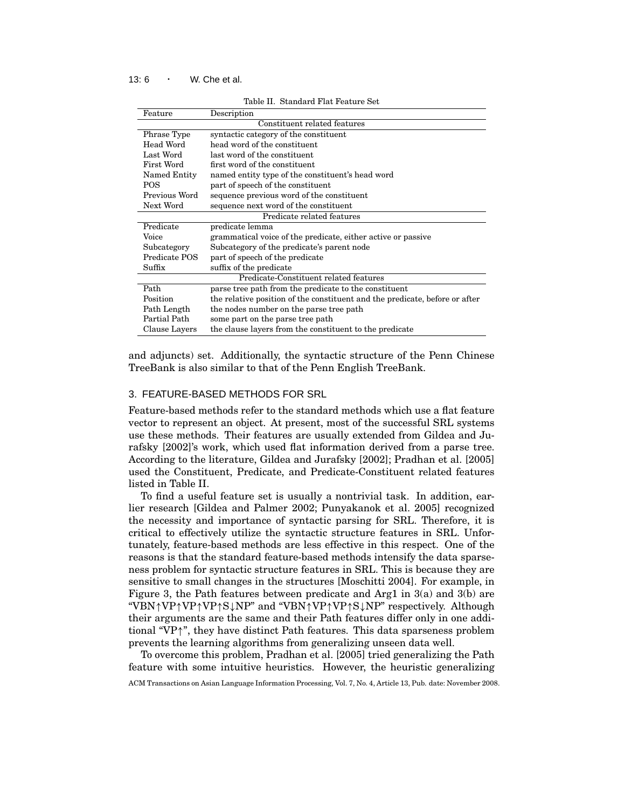13:  $6 \cdot W$ . Che et al.

| Feature                                | Description                                                                 |  |  |  |  |
|----------------------------------------|-----------------------------------------------------------------------------|--|--|--|--|
| Constituent related features           |                                                                             |  |  |  |  |
| Phrase Type                            | syntactic category of the constituent                                       |  |  |  |  |
| Head Word                              | head word of the constituent                                                |  |  |  |  |
| Last Word                              | last word of the constituent                                                |  |  |  |  |
| First Word                             | first word of the constituent                                               |  |  |  |  |
| Named Entity                           | named entity type of the constituent's head word                            |  |  |  |  |
| <b>POS</b>                             | part of speech of the constituent                                           |  |  |  |  |
| Previous Word                          | sequence previous word of the constituent                                   |  |  |  |  |
| Next Word                              | sequence next word of the constituent                                       |  |  |  |  |
| Predicate related features             |                                                                             |  |  |  |  |
| Predicate                              | predicate lemma                                                             |  |  |  |  |
| Voice                                  | grammatical voice of the predicate, either active or passive                |  |  |  |  |
| Subcategory                            | Subcategory of the predicate's parent node                                  |  |  |  |  |
| Predicate POS                          | part of speech of the predicate                                             |  |  |  |  |
| Suffix                                 | suffix of the predicate                                                     |  |  |  |  |
| Predicate-Constituent related features |                                                                             |  |  |  |  |
| Path                                   | parse tree path from the predicate to the constituent                       |  |  |  |  |
| Position                               | the relative position of the constituent and the predicate, before or after |  |  |  |  |
| Path Length                            | the nodes number on the parse tree path                                     |  |  |  |  |
| Partial Path                           | some part on the parse tree path                                            |  |  |  |  |
| Clause Layers                          | the clause layers from the constituent to the predicate                     |  |  |  |  |

Table II. Standard Flat Feature Set

and adjuncts) set. Additionally, the syntactic structure of the Penn Chinese TreeBank is also similar to that of the Penn English TreeBank.

# 3. FEATURE-BASED METHODS FOR SRL

Feature-based methods refer to the standard methods which use a flat feature vector to represent an object. At present, most of the successful SRL systems use these methods. Their features are usually extended from Gildea and Jurafsky [2002]'s work, which used flat information derived from a parse tree. According to the literature, Gildea and Jurafsky [2002]; Pradhan et al. [2005] used the Constituent, Predicate, and Predicate-Constituent related features listed in Table II.

To find a useful feature set is usually a nontrivial task. In addition, earlier research [Gildea and Palmer 2002; Punyakanok et al. 2005] recognized the necessity and importance of syntactic parsing for SRL. Therefore, it is critical to effectively utilize the syntactic structure features in SRL. Unfortunately, feature-based methods are less effective in this respect. One of the reasons is that the standard feature-based methods intensify the data sparseness problem for syntactic structure features in SRL. This is because they are sensitive to small changes in the structures [Moschitti 2004]. For example, in Figure 3, the Path features between predicate and Arg1 in  $3(a)$  and  $3(b)$  are "VBN↑VP↑VP↑VP↑S↓NP" and "VBN↑VP↑VP↑S↓NP" respectively. Although their arguments are the same and their Path features differ only in one additional "VP↑", they have distinct Path features. This data sparseness problem prevents the learning algorithms from generalizing unseen data well.

To overcome this problem, Pradhan et al. [2005] tried generalizing the Path feature with some intuitive heuristics. However, the heuristic generalizing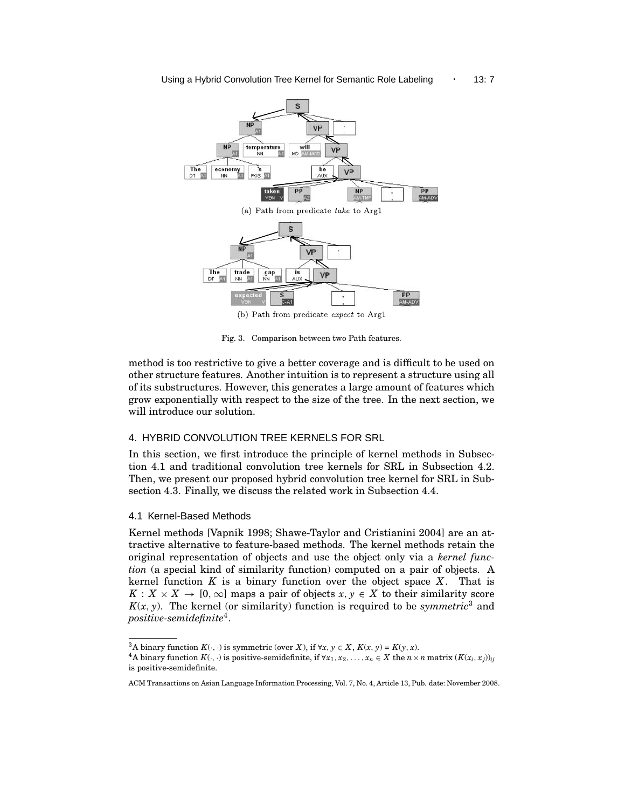

Fig. 3. Comparison between two Path features.

method is too restrictive to give a better coverage and is difficult to be used on other structure features. Another intuition is to represent a structure using all of its substructures. However, this generates a large amount of features which grow exponentially with respect to the size of the tree. In the next section, we will introduce our solution.

## 4. HYBRID CONVOLUTION TREE KERNELS FOR SRL

In this section, we first introduce the principle of kernel methods in Subsection 4.1 and traditional convolution tree kernels for SRL in Subsection 4.2. Then, we present our proposed hybrid convolution tree kernel for SRL in Subsection 4.3. Finally, we discuss the related work in Subsection 4.4.

#### 4.1 Kernel-Based Methods

Kernel methods [Vapnik 1998; Shawe-Taylor and Cristianini 2004] are an attractive alternative to feature-based methods. The kernel methods retain the original representation of objects and use the object only via a *kernel function* (a special kind of similarity function) computed on a pair of objects. A kernel function  $K$  is a binary function over the object space  $X$ . That is  $K: X \times X \to [0, \infty]$  maps a pair of objects  $x, y \in X$  to their similarity score  $K(x, y)$ . The kernel (or similarity) function is required to be *symmetric*<sup>3</sup> and *positive-semidefinite*<sup>4</sup> .

<sup>&</sup>lt;sup>3</sup>A binary function  $K(\cdot, \cdot)$  is symmetric (over *X*), if  $\forall x, y \in X$ ,  $K(x, y) = K(y, x)$ .

<sup>&</sup>lt;sup>4</sup>A binary function  $K(\cdot, \cdot)$  is positive-semidefinite, if  $\forall x_1, x_2, \ldots, x_n \in X$  the  $n \times n$  matrix  $(K(x_i, x_j))_{ij}$ is positive-semidefinite.

ACM Transactions on Asian Language Information Processing, Vol. 7, No. 4, Article 13, Pub. date: November 2008.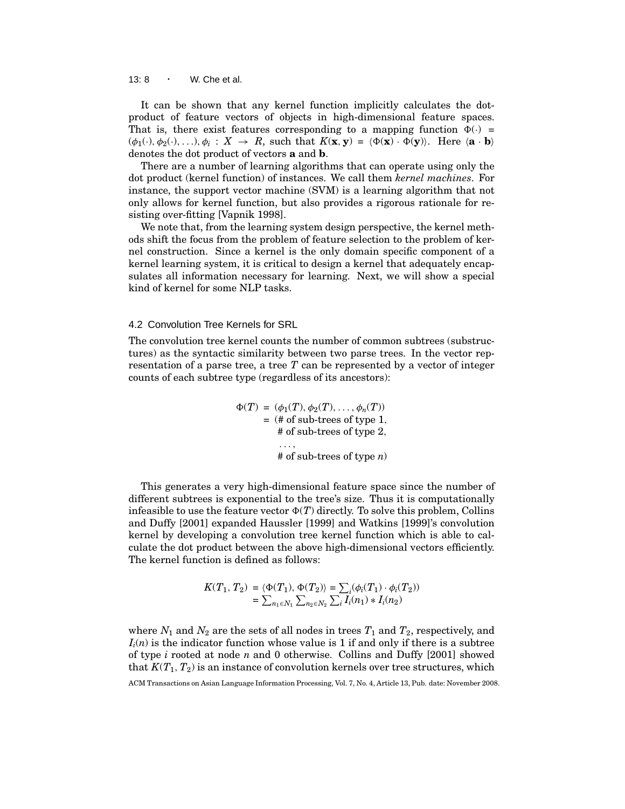13: 8 · W. Che et al.

It can be shown that any kernel function implicitly calculates the dotproduct of feature vectors of objects in high-dimensional feature spaces. That is, there exist features corresponding to a mapping function  $\Phi(\cdot)$  =  $(\phi_1(\cdot), \phi_2(\cdot), \ldots), \phi_i : X \to R$ , such that  $K(\mathbf{x}, \mathbf{y}) = \langle \Phi(\mathbf{x}) \cdot \Phi(\mathbf{y}) \rangle$ . Here  $\langle \mathbf{a} \cdot \mathbf{b} \rangle$ denotes the dot product of vectors **a** and **b**.

There are a number of learning algorithms that can operate using only the dot product (kernel function) of instances. We call them *kernel machines*. For instance, the support vector machine (SVM) is a learning algorithm that not only allows for kernel function, but also provides a rigorous rationale for resisting over-fitting [Vapnik 1998].

We note that, from the learning system design perspective, the kernel methods shift the focus from the problem of feature selection to the problem of kernel construction. Since a kernel is the only domain specific component of a kernel learning system, it is critical to design a kernel that adequately encapsulates all information necessary for learning. Next, we will show a special kind of kernel for some NLP tasks.

#### 4.2 Convolution Tree Kernels for SRL

The convolution tree kernel counts the number of common subtrees (substructures) as the syntactic similarity between two parse trees. In the vector representation of a parse tree, a tree *T* can be represented by a vector of integer counts of each subtree type (regardless of its ancestors):

> $\Phi(T) = (\phi_1(T), \phi_2(T), \ldots, \phi_n(T))$  $=$  (# of sub-trees of type 1, # of sub-trees of type 2, . . . , # of sub-trees of type *n*)

This generates a very high-dimensional feature space since the number of different subtrees is exponential to the tree's size. Thus it is computationally infeasible to use the feature vector  $\Phi(T)$  directly. To solve this problem, Collins and Duffy [2001] expanded Haussler [1999] and Watkins [1999]'s convolution kernel by developing a convolution tree kernel function which is able to calculate the dot product between the above high-dimensional vectors efficiently. The kernel function is defined as follows:

$$
K(T_1, T_2) = \langle \Phi(T_1), \Phi(T_2) \rangle = \sum_i (\phi_i(T_1) \cdot \phi_i(T_2))
$$
  
= 
$$
\sum_{n_1 \in N_1} \sum_{n_2 \in N_2} \sum_i I_i(n_1) * I_i(n_2)
$$

where  $N_1$  and  $N_2$  are the sets of all nodes in trees  $T_1$  and  $T_2$ , respectively, and  $I_i(n)$  is the indicator function whose value is 1 if and only if there is a subtree of type *i* rooted at node *n* and 0 otherwise. Collins and Duffy [2001] showed that  $K(T_1, T_2)$  is an instance of convolution kernels over tree structures, which

ACM Transactions on Asian Language Information Processing, Vol. 7, No. 4, Article 13, Pub. date: November 2008.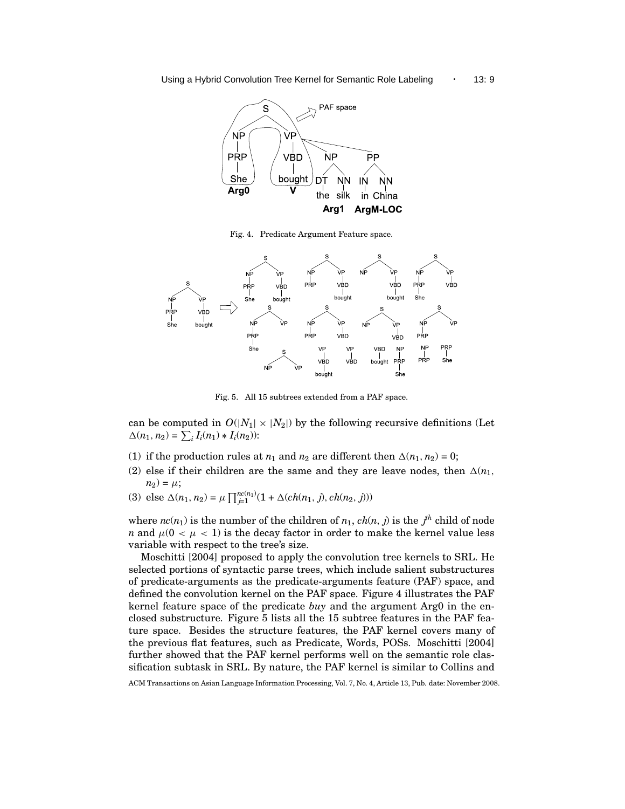

Fig. 4. Predicate Argument Feature space.



Fig. 5. All 15 subtrees extended from a PAF space.

can be computed in  $O(|N_1| \times |N_2|)$  by the following recursive definitions (Let  $\Delta(n_1, n_2) = \sum_i I_i(n_1) * I_i(n_2)$ :

- (1) if the production rules at  $n_1$  and  $n_2$  are different then  $\Delta(n_1, n_2) = 0$ ;
- (2) else if their children are the same and they are leave nodes, then  $\Delta(n_1,$  $n_2) = \mu;$
- (3) else  $\Delta(n_1, n_2) = \mu \prod_{j=1}^{n c(n_1)} (1 + \Delta(ch(n_1, j), ch(n_2, j)))$

where  $nc(n_1)$  is the number of the children of  $n_1$ ,  $ch(n, j)$  is the  $j^h$  child of node *n* and  $\mu(0 < \mu < 1)$  is the decay factor in order to make the kernel value less variable with respect to the tree's size.

Moschitti [2004] proposed to apply the convolution tree kernels to SRL. He selected portions of syntactic parse trees, which include salient substructures of predicate-arguments as the predicate-arguments feature (PAF) space, and defined the convolution kernel on the PAF space. Figure 4 illustrates the PAF kernel feature space of the predicate *buy* and the argument Arg0 in the enclosed substructure. Figure 5 lists all the 15 subtree features in the PAF feature space. Besides the structure features, the PAF kernel covers many of the previous flat features, such as Predicate, Words, POSs. Moschitti [2004] further showed that the PAF kernel performs well on the semantic role classification subtask in SRL. By nature, the PAF kernel is similar to Collins and

ACM Transactions on Asian Language Information Processing, Vol. 7, No. 4, Article 13, Pub. date: November 2008.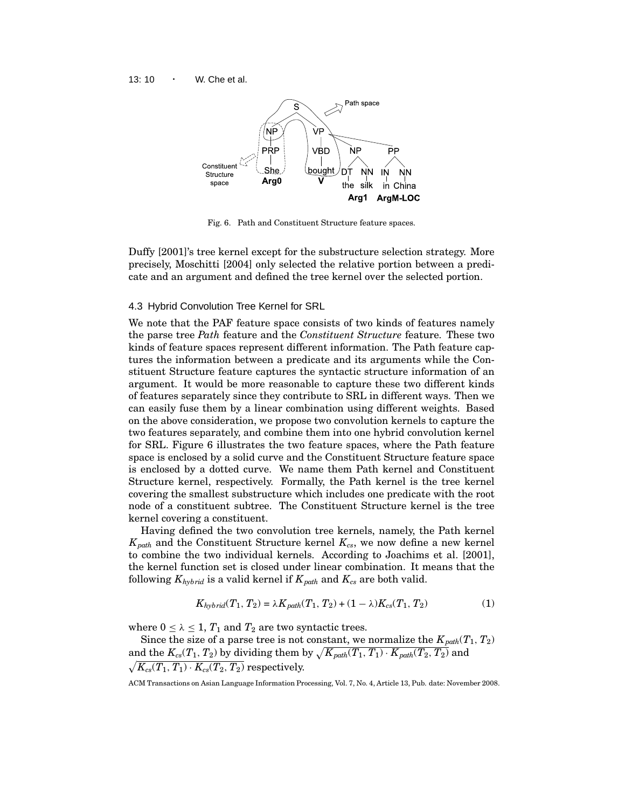

Fig. 6. Path and Constituent Structure feature spaces.

Duffy [2001]'s tree kernel except for the substructure selection strategy. More precisely, Moschitti [2004] only selected the relative portion between a predicate and an argument and defined the tree kernel over the selected portion.

### 4.3 Hybrid Convolution Tree Kernel for SRL

We note that the PAF feature space consists of two kinds of features namely the parse tree *Path* feature and the *Constituent Structure* feature. These two kinds of feature spaces represent different information. The Path feature captures the information between a predicate and its arguments while the Constituent Structure feature captures the syntactic structure information of an argument. It would be more reasonable to capture these two different kinds of features separately since they contribute to SRL in different ways. Then we can easily fuse them by a linear combination using different weights. Based on the above consideration, we propose two convolution kernels to capture the two features separately, and combine them into one hybrid convolution kernel for SRL. Figure 6 illustrates the two feature spaces, where the Path feature space is enclosed by a solid curve and the Constituent Structure feature space is enclosed by a dotted curve. We name them Path kernel and Constituent Structure kernel, respectively. Formally, the Path kernel is the tree kernel covering the smallest substructure which includes one predicate with the root node of a constituent subtree. The Constituent Structure kernel is the tree kernel covering a constituent.

Having defined the two convolution tree kernels, namely, the Path kernel *Kpath* and the Constituent Structure kernel *Kcs*, we now define a new kernel to combine the two individual kernels. According to Joachims et al. [2001], the kernel function set is closed under linear combination. It means that the following  $K_{hybrid}$  is a valid kernel if  $K_{path}$  and  $K_{cs}$  are both valid.

$$
K_{hybrid}(T_1, T_2) = \lambda K_{path}(T_1, T_2) + (1 - \lambda)K_{cs}(T_1, T_2)
$$
\n(1)

where  $0 \leq \lambda \leq 1$ ,  $T_1$  and  $T_2$  are two syntactic trees.

Since the size of a parse tree is not constant, we normalize the  $K_{path}(T_1, T_2)$ and the  $K_{cs}(T_1,T_2)$  by dividing them by  $\sqrt{K_{path}(T_1,T_1) \cdot K_{path}(T_2,T_2)}$  and  $\sqrt{K_{cs}(T_1,T_1) \cdot K_{cs}(T_2,T_2)}$  respectively.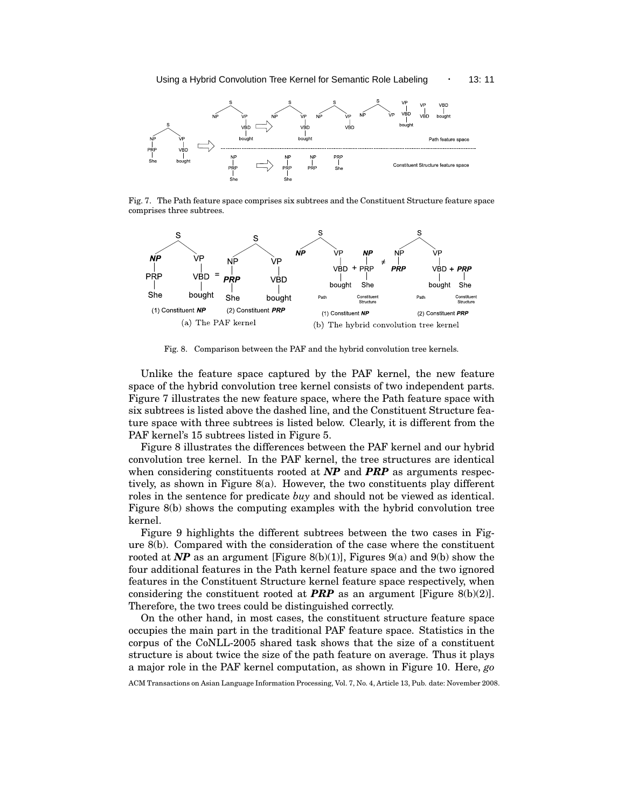

Fig. 7. The Path feature space comprises six subtrees and the Constituent Structure feature space comprises three subtrees.



Fig. 8. Comparison between the PAF and the hybrid convolution tree kernels.

Unlike the feature space captured by the PAF kernel, the new feature space of the hybrid convolution tree kernel consists of two independent parts. Figure 7 illustrates the new feature space, where the Path feature space with six subtrees is listed above the dashed line, and the Constituent Structure feature space with three subtrees is listed below. Clearly, it is different from the PAF kernel's 15 subtrees listed in Figure 5.

Figure 8 illustrates the differences between the PAF kernel and our hybrid convolution tree kernel. In the PAF kernel, the tree structures are identical when considering constituents rooted at **NP** and **PRP** as arguments respectively, as shown in Figure 8(a). However, the two constituents play different roles in the sentence for predicate *buy* and should not be viewed as identical. Figure 8(b) shows the computing examples with the hybrid convolution tree kernel.

Figure 9 highlights the different subtrees between the two cases in Figure 8(b). Compared with the consideration of the case where the constituent rooted at  $\overline{NP}$  as an argument [Figure 8(b)(1)], Figures 9(a) and 9(b) show the four additional features in the Path kernel feature space and the two ignored features in the Constituent Structure kernel feature space respectively, when considering the constituent rooted at **PRP** as an argument [Figure 8(b)(2)]. Therefore, the two trees could be distinguished correctly.

On the other hand, in most cases, the constituent structure feature space occupies the main part in the traditional PAF feature space. Statistics in the corpus of the CoNLL-2005 shared task shows that the size of a constituent structure is about twice the size of the path feature on average. Thus it plays a major role in the PAF kernel computation, as shown in Figure 10. Here, *go*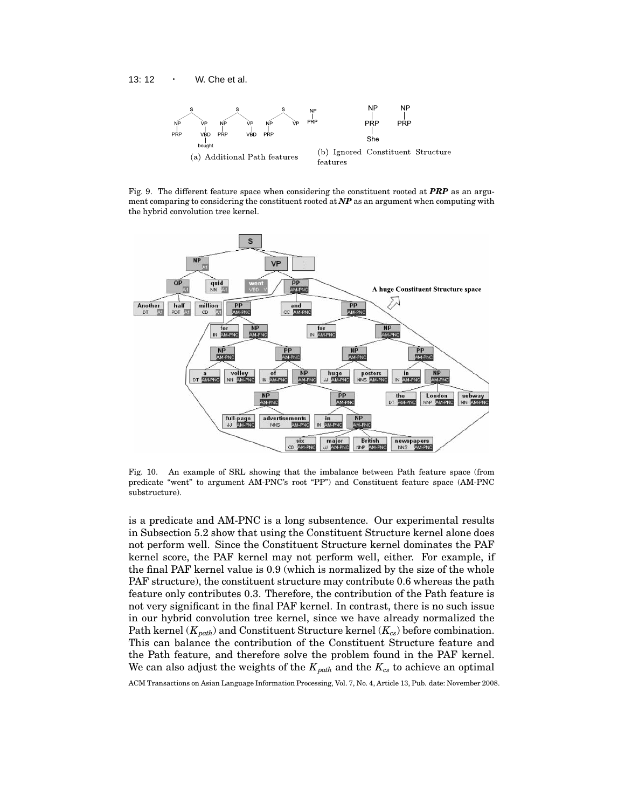

Fig. 9. The different feature space when considering the constituent rooted at *PRP* as an argument comparing to considering the constituent rooted at *NP* as an argument when computing with the hybrid convolution tree kernel.



Fig. 10. An example of SRL showing that the imbalance between Path feature space (from predicate "went" to argument AM-PNC's root "PP") and Constituent feature space (AM-PNC substructure).

is a predicate and AM-PNC is a long subsentence. Our experimental results in Subsection 5.2 show that using the Constituent Structure kernel alone does not perform well. Since the Constituent Structure kernel dominates the PAF kernel score, the PAF kernel may not perform well, either. For example, if the final PAF kernel value is 0.9 (which is normalized by the size of the whole PAF structure), the constituent structure may contribute 0.6 whereas the path feature only contributes 0.3. Therefore, the contribution of the Path feature is not very significant in the final PAF kernel. In contrast, there is no such issue in our hybrid convolution tree kernel, since we have already normalized the Path kernel  $(K_{path})$  and Constituent Structure kernel  $(K_{cs})$  before combination. This can balance the contribution of the Constituent Structure feature and the Path feature, and therefore solve the problem found in the PAF kernel. We can also adjust the weights of the  $K_{path}$  and the  $K_{cs}$  to achieve an optimal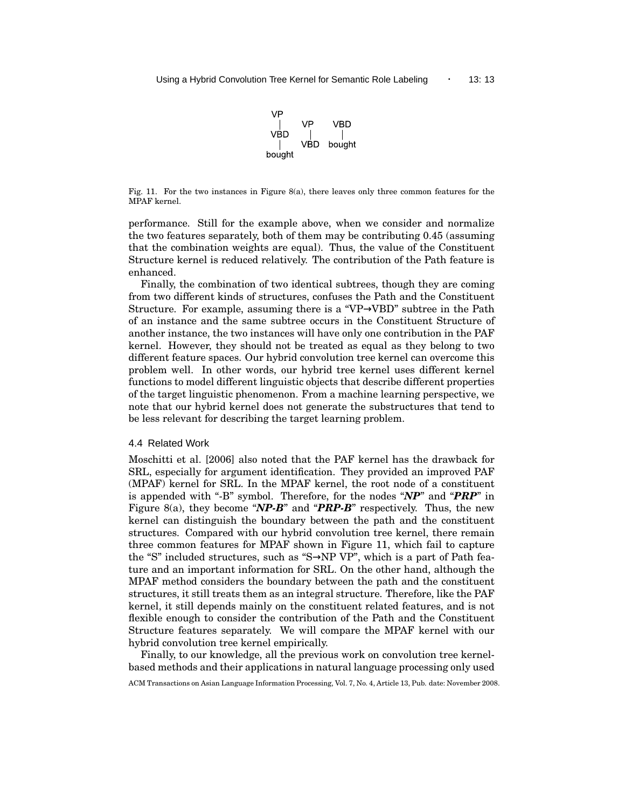

Fig. 11. For the two instances in Figure 8(a), there leaves only three common features for the MPAF kernel.

performance. Still for the example above, when we consider and normalize the two features separately, both of them may be contributing 0.45 (assuming that the combination weights are equal). Thus, the value of the Constituent Structure kernel is reduced relatively. The contribution of the Path feature is enhanced.

Finally, the combination of two identical subtrees, though they are coming from two different kinds of structures, confuses the Path and the Constituent Structure. For example, assuming there is a "VP→VBD" subtree in the Path of an instance and the same subtree occurs in the Constituent Structure of another instance, the two instances will have only one contribution in the PAF kernel. However, they should not be treated as equal as they belong to two different feature spaces. Our hybrid convolution tree kernel can overcome this problem well. In other words, our hybrid tree kernel uses different kernel functions to model different linguistic objects that describe different properties of the target linguistic phenomenon. From a machine learning perspective, we note that our hybrid kernel does not generate the substructures that tend to be less relevant for describing the target learning problem.

## 4.4 Related Work

Moschitti et al. [2006] also noted that the PAF kernel has the drawback for SRL, especially for argument identification. They provided an improved PAF (MPAF) kernel for SRL. In the MPAF kernel, the root node of a constituent is appended with "-B" symbol. Therefore, for the nodes "*NP*" and "*PRP*" in Figure 8(a), they become "*NP-B*" and "*PRP-B*" respectively. Thus, the new kernel can distinguish the boundary between the path and the constituent structures. Compared with our hybrid convolution tree kernel, there remain three common features for MPAF shown in Figure 11, which fail to capture the "S" included structures, such as "S $\rightarrow$ NP VP", which is a part of Path feature and an important information for SRL. On the other hand, although the MPAF method considers the boundary between the path and the constituent structures, it still treats them as an integral structure. Therefore, like the PAF kernel, it still depends mainly on the constituent related features, and is not flexible enough to consider the contribution of the Path and the Constituent Structure features separately. We will compare the MPAF kernel with our hybrid convolution tree kernel empirically.

Finally, to our knowledge, all the previous work on convolution tree kernelbased methods and their applications in natural language processing only used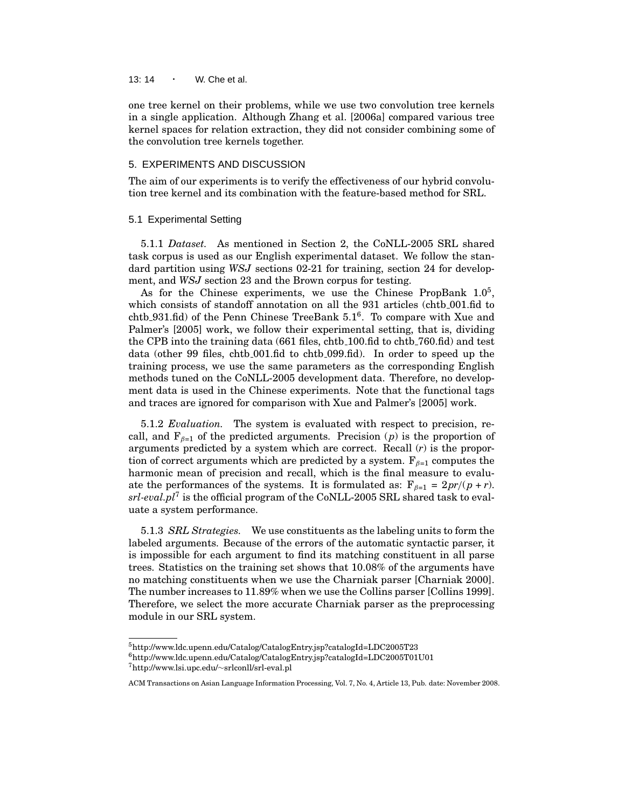13: 14 · W. Che et al.

one tree kernel on their problems, while we use two convolution tree kernels in a single application. Although Zhang et al. [2006a] compared various tree kernel spaces for relation extraction, they did not consider combining some of the convolution tree kernels together.

## 5. EXPERIMENTS AND DISCUSSION

The aim of our experiments is to verify the effectiveness of our hybrid convolution tree kernel and its combination with the feature-based method for SRL.

#### 5.1 Experimental Setting

5.1.1 *Dataset.* As mentioned in Section 2, the CoNLL-2005 SRL shared task corpus is used as our English experimental dataset. We follow the standard partition using *WSJ* sections 02-21 for training, section 24 for development, and *WSJ* section 23 and the Brown corpus for testing.

As for the Chinese experiments, we use the Chinese PropBank  $1.0<sup>5</sup>$ , which consists of standoff annotation on all the 931 articles (chtb\_001.fid to chtb 931.fid) of the Penn Chinese TreeBank 5.1<sup>6</sup>. To compare with Xue and Palmer's [2005] work, we follow their experimental setting, that is, dividing the CPB into the training data (661 files, chtb 100.fid to chtb 760.fid) and test data (other 99 files, chtb 001.fid to chtb 099.fid). In order to speed up the training process, we use the same parameters as the corresponding English methods tuned on the CoNLL-2005 development data. Therefore, no development data is used in the Chinese experiments. Note that the functional tags and traces are ignored for comparison with Xue and Palmer's [2005] work.

5.1.2 *Evaluation.* The system is evaluated with respect to precision, recall, and  $F_{\beta=1}$  of the predicted arguments. Precision (*p*) is the proportion of arguments predicted by a system which are correct. Recall (*r*) is the proportion of correct arguments which are predicted by a system.  $F_{\beta=1}$  computes the harmonic mean of precision and recall, which is the final measure to evaluate the performances of the systems. It is formulated as:  $F_{\beta=1} = \frac{2pr}{(p+r)}$ . *srl-eval.pl*<sup>7</sup> is the official program of the CoNLL-2005 SRL shared task to evaluate a system performance.

5.1.3 *SRL Strategies.* We use constituents as the labeling units to form the labeled arguments. Because of the errors of the automatic syntactic parser, it is impossible for each argument to find its matching constituent in all parse trees. Statistics on the training set shows that 10.08% of the arguments have no matching constituents when we use the Charniak parser [Charniak 2000]. The number increases to 11.89% when we use the Collins parser [Collins 1999]. Therefore, we select the more accurate Charniak parser as the preprocessing module in our SRL system.

<sup>5</sup>http://www.ldc.upenn.edu/Catalog/CatalogEntry.jsp?catalogId=LDC2005T23

<sup>6</sup>http://www.ldc.upenn.edu/Catalog/CatalogEntry.jsp?catalogId=LDC2005T01U01

<sup>7</sup>http://www.lsi.upc.edu/∼srlconll/srl-eval.pl

ACM Transactions on Asian Language Information Processing, Vol. 7, No. 4, Article 13, Pub. date: November 2008.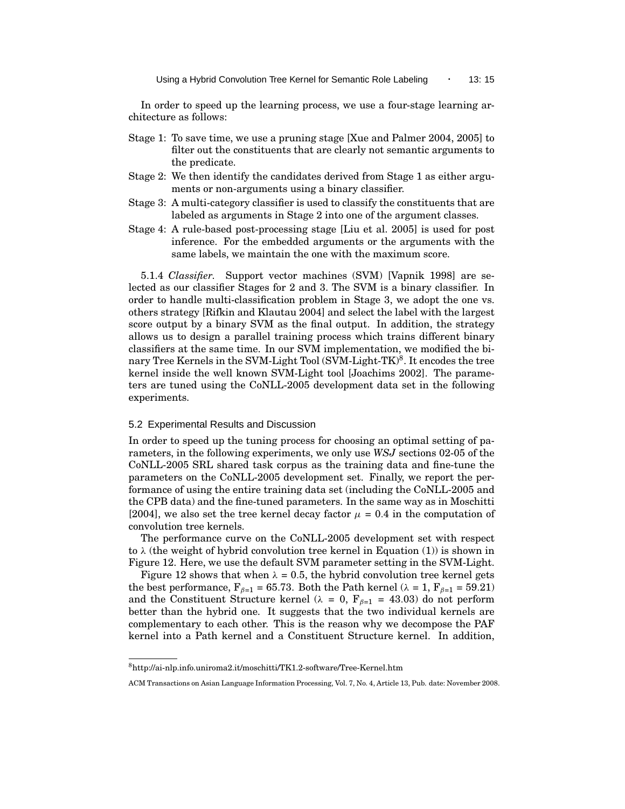In order to speed up the learning process, we use a four-stage learning architecture as follows:

- Stage 1: To save time, we use a pruning stage [Xue and Palmer 2004, 2005] to filter out the constituents that are clearly not semantic arguments to the predicate.
- Stage 2: We then identify the candidates derived from Stage 1 as either arguments or non-arguments using a binary classifier.
- Stage 3: A multi-category classifier is used to classify the constituents that are labeled as arguments in Stage 2 into one of the argument classes.
- Stage 4: A rule-based post-processing stage [Liu et al. 2005] is used for post inference. For the embedded arguments or the arguments with the same labels, we maintain the one with the maximum score.

5.1.4 *Classifier.* Support vector machines (SVM) [Vapnik 1998] are selected as our classifier Stages for 2 and 3. The SVM is a binary classifier. In order to handle multi-classification problem in Stage 3, we adopt the one vs. others strategy [Rifkin and Klautau 2004] and select the label with the largest score output by a binary SVM as the final output. In addition, the strategy allows us to design a parallel training process which trains different binary classifiers at the same time. In our SVM implementation, we modified the binary Tree Kernels in the SVM-Light Tool (SVM-Light-TK)<sup>8</sup>. It encodes the tree kernel inside the well known SVM-Light tool [Joachims 2002]. The parameters are tuned using the CoNLL-2005 development data set in the following experiments.

#### 5.2 Experimental Results and Discussion

In order to speed up the tuning process for choosing an optimal setting of parameters, in the following experiments, we only use *WSJ* sections 02-05 of the CoNLL-2005 SRL shared task corpus as the training data and fine-tune the parameters on the CoNLL-2005 development set. Finally, we report the performance of using the entire training data set (including the CoNLL-2005 and the CPB data) and the fine-tuned parameters. In the same way as in Moschitti [2004], we also set the tree kernel decay factor  $\mu = 0.4$  in the computation of convolution tree kernels.

The performance curve on the CoNLL-2005 development set with respect to  $\lambda$  (the weight of hybrid convolution tree kernel in Equation (1)) is shown in Figure 12. Here, we use the default SVM parameter setting in the SVM-Light.

Figure 12 shows that when  $\lambda = 0.5$ , the hybrid convolution tree kernel gets the best performance,  $F_{\beta=1} = 65.73$ . Both the Path kernel ( $\lambda = 1$ ,  $F_{\beta=1} = 59.21$ ) and the Constituent Structure kernel ( $\lambda = 0$ ,  $F_{\beta=1} = 43.03$ ) do not perform better than the hybrid one. It suggests that the two individual kernels are complementary to each other. This is the reason why we decompose the PAF kernel into a Path kernel and a Constituent Structure kernel. In addition,

<sup>8</sup>http://ai-nlp.info.uniroma2.it/moschitti/TK1.2-software/Tree-Kernel.htm

ACM Transactions on Asian Language Information Processing, Vol. 7, No. 4, Article 13, Pub. date: November 2008.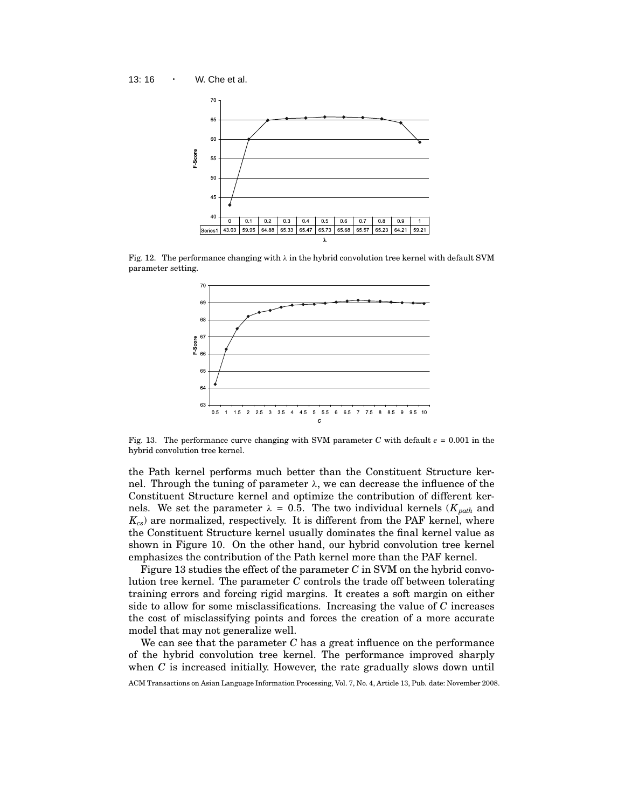13: 16 · W. Che et al.



Fig. 12. The performance changing with  $\lambda$  in the hybrid convolution tree kernel with default SVM parameter setting.



Fig. 13. The performance curve changing with SVM parameter *C* with default  $e = 0.001$  in the hybrid convolution tree kernel.

the Path kernel performs much better than the Constituent Structure kernel. Through the tuning of parameter  $\lambda$ , we can decrease the influence of the Constituent Structure kernel and optimize the contribution of different kernels. We set the parameter  $\lambda = 0.5$ . The two individual kernels ( $K_{path}$  and *Kcs*) are normalized, respectively. It is different from the PAF kernel, where the Constituent Structure kernel usually dominates the final kernel value as shown in Figure 10. On the other hand, our hybrid convolution tree kernel emphasizes the contribution of the Path kernel more than the PAF kernel.

Figure 13 studies the effect of the parameter *C* in SVM on the hybrid convolution tree kernel. The parameter *C* controls the trade off between tolerating training errors and forcing rigid margins. It creates a soft margin on either side to allow for some misclassifications. Increasing the value of *C* increases the cost of misclassifying points and forces the creation of a more accurate model that may not generalize well.

We can see that the parameter *C* has a great influence on the performance of the hybrid convolution tree kernel. The performance improved sharply when *C* is increased initially. However, the rate gradually slows down until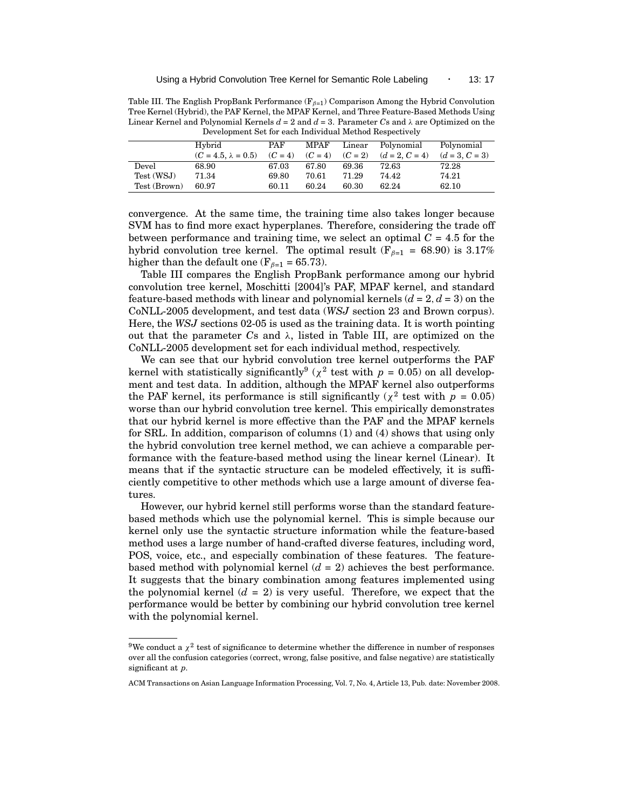Table III. The English PropBank Performance  $(F_{\beta=1})$  Comparison Among the Hybrid Convolution Tree Kernel (Hybrid), the PAF Kernel, the MPAF Kernel, and Three Feature-Based Methods Using Linear Kernel and Polynomial Kernels  $d = 2$  and  $d = 3$ . Parameter *Cs* and  $\lambda$  are Optimized on the Development Set for each Individual Method Respectively

| Development Det for each many again memor neopeetively |                            |           |             |           |                  |                  |
|--------------------------------------------------------|----------------------------|-----------|-------------|-----------|------------------|------------------|
|                                                        | Hybrid                     | PAF       | <b>MPAF</b> | Linear    | Polynomial       | Polynomial       |
|                                                        | $(C = 4.5, \lambda = 0.5)$ | $(C = 4)$ | $(C = 4)$   | $(C = 2)$ | $(d = 2, C = 4)$ | $(d = 3, C = 3)$ |
| Devel                                                  | 68.90                      | 67.03     | 67.80       | 69.36     | 72.63            | 72.28            |
| Test (WSJ)                                             | 71.34                      | 69.80     | 70.61       | 71.29     | 74.42            | 74.21            |
| Test (Brown)                                           | 60.97                      | 60.11     | 60.24       | 60.30     | 62.24            | 62.10            |

convergence. At the same time, the training time also takes longer because SVM has to find more exact hyperplanes. Therefore, considering the trade off between performance and training time, we select an optimal  $C = 4.5$  for the hybrid convolution tree kernel. The optimal result ( $F_{\beta=1}$  = 68.90) is 3.17% higher than the default one ( $F_{\beta=1}$  = 65.73).

Table III compares the English PropBank performance among our hybrid convolution tree kernel, Moschitti [2004]'s PAF, MPAF kernel, and standard feature-based methods with linear and polynomial kernels  $(d = 2, d = 3)$  on the CoNLL-2005 development, and test data (*WSJ* section 23 and Brown corpus). Here, the *WSJ* sections 02-05 is used as the training data. It is worth pointing out that the parameter  $Cs$  and  $\lambda$ , listed in Table III, are optimized on the CoNLL-2005 development set for each individual method, respectively.

We can see that our hybrid convolution tree kernel outperforms the PAF kernel with statistically significantly<sup>9</sup> ( $\chi^2$  test with  $p = 0.05$ ) on all development and test data. In addition, although the MPAF kernel also outperforms the PAF kernel, its performance is still significantly ( $\chi^2$  test with  $p = 0.05$ ) worse than our hybrid convolution tree kernel. This empirically demonstrates that our hybrid kernel is more effective than the PAF and the MPAF kernels for SRL. In addition, comparison of columns (1) and (4) shows that using only the hybrid convolution tree kernel method, we can achieve a comparable performance with the feature-based method using the linear kernel (Linear). It means that if the syntactic structure can be modeled effectively, it is sufficiently competitive to other methods which use a large amount of diverse features.

However, our hybrid kernel still performs worse than the standard featurebased methods which use the polynomial kernel. This is simple because our kernel only use the syntactic structure information while the feature-based method uses a large number of hand-crafted diverse features, including word, POS, voice, etc., and especially combination of these features. The featurebased method with polynomial kernel  $(d = 2)$  achieves the best performance. It suggests that the binary combination among features implemented using the polynomial kernel  $(d = 2)$  is very useful. Therefore, we expect that the performance would be better by combining our hybrid convolution tree kernel with the polynomial kernel.

 $^{9}$ We conduct a  $\chi^{2}$  test of significance to determine whether the difference in number of responses over all the confusion categories (correct, wrong, false positive, and false negative) are statistically significant at *p*.

ACM Transactions on Asian Language Information Processing, Vol. 7, No. 4, Article 13, Pub. date: November 2008.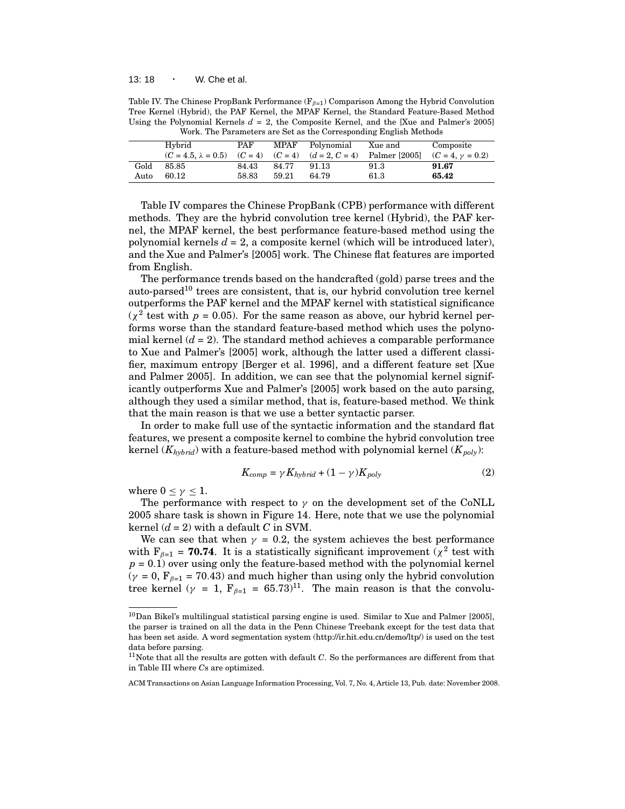## 13: 18 · W. Che et al.

Table IV. The Chinese PropBank Performance  $(F_{\beta=1})$  Comparison Among the Hybrid Convolution Tree Kernel (Hybrid), the PAF Kernel, the MPAF Kernel, the Standard Feature-Based Method Using the Polynomial Kernels  $d = 2$ , the Composite Kernel, and the [Xue and Palmer's 2005] Work. The Parameters are Set as the Corresponding English Methods

|      |                                                                                                       |       |       |                 | $\frac{1}{2}$ . The Farameters are not as the corresponding Bighen memory |           |
|------|-------------------------------------------------------------------------------------------------------|-------|-------|-----------------|---------------------------------------------------------------------------|-----------|
|      | Hybrid                                                                                                | PAF   |       | MPAF Polynomial | Xue and                                                                   | Composite |
|      | $(C = 4.5, \lambda = 0.5)$ $(C = 4)$ $(C = 4)$ $(d = 2, C = 4)$ Palmer [2005] $(C = 4, \gamma = 0.2)$ |       |       |                 |                                                                           |           |
| Gold | 85.85                                                                                                 | 84.43 | 84.77 | 91.13           | 91.3                                                                      | 91.67     |
| Auto | 60.12                                                                                                 | 58.83 | 59.21 | 64.79           | 61.3                                                                      | 65.42     |

Table IV compares the Chinese PropBank (CPB) performance with different methods. They are the hybrid convolution tree kernel (Hybrid), the PAF kernel, the MPAF kernel, the best performance feature-based method using the polynomial kernels  $d = 2$ , a composite kernel (which will be introduced later), and the Xue and Palmer's [2005] work. The Chinese flat features are imported from English.

The performance trends based on the handcrafted (gold) parse trees and the auto-parsed<sup>10</sup> trees are consistent, that is, our hybrid convolution tree kernel outperforms the PAF kernel and the MPAF kernel with statistical significance  $(\chi^2 \text{ test with } p = 0.05)$ . For the same reason as above, our hybrid kernel performs worse than the standard feature-based method which uses the polynomial kernel  $(d = 2)$ . The standard method achieves a comparable performance to Xue and Palmer's [2005] work, although the latter used a different classifier, maximum entropy [Berger et al. 1996], and a different feature set [Xue and Palmer 2005]. In addition, we can see that the polynomial kernel significantly outperforms Xue and Palmer's [2005] work based on the auto parsing, although they used a similar method, that is, feature-based method. We think that the main reason is that we use a better syntactic parser.

In order to make full use of the syntactic information and the standard flat features, we present a composite kernel to combine the hybrid convolution tree kernel (*Khybrid*) with a feature-based method with polynomial kernel (*Kpoly*):

$$
K_{comp} = \gamma K_{hybrid} + (1 - \gamma) K_{poly} \tag{2}
$$

where  $0 \leq \gamma \leq 1$ .

The performance with respect to  $\gamma$  on the development set of the CoNLL 2005 share task is shown in Figure 14. Here, note that we use the polynomial kernel  $(d = 2)$  with a default *C* in SVM.

We can see that when  $\gamma = 0.2$ , the system achieves the best performance with  $F_{\beta=1}$  = **70.74**. It is a statistically significant improvement ( $\chi^2$  test with  $p = 0.1$ ) over using only the feature-based method with the polynomial kernel ( $\gamma = 0$ ,  $F_{\beta=1} = 70.43$ ) and much higher than using only the hybrid convolution tree kernel ( $\gamma = 1$ ,  $F_{\beta=1} = 65.73$ )<sup>11</sup>. The main reason is that the convolu-

<sup>10</sup>Dan Bikel's multilingual statistical parsing engine is used. Similar to Xue and Palmer [2005], the parser is trained on all the data in the Penn Chinese Treebank except for the test data that has been set aside. A word segmentation system (http://ir.hit.edu.cn/demo/ltp/) is used on the test data before parsing.

<sup>11</sup>Note that all the results are gotten with default *C*. So the performances are different from that in Table III where *C*s are optimized.

ACM Transactions on Asian Language Information Processing, Vol. 7, No. 4, Article 13, Pub. date: November 2008.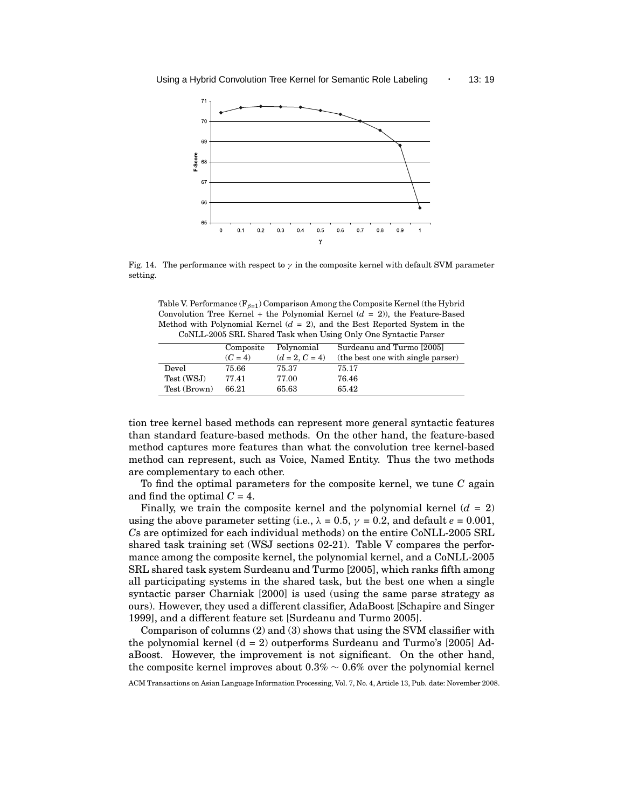

Fig. 14. The performance with respect to  $\gamma$  in the composite kernel with default SVM parameter setting.

Table V. Performance ( $F_{\beta=1}$ ) Comparison Among the Composite Kernel (the Hybrid Convolution Tree Kernel + the Polynomial Kernel (*d* = 2)), the Feature-Based Method with Polynomial Kernel  $(d = 2)$ , and the Best Reported System in the CoNLL-2005 SRL Shared Task when Using Only One Syntactic Parser

|              | Composite | Polynomial       | Surdeanu and Turmo [2005]         |
|--------------|-----------|------------------|-----------------------------------|
|              | $(C = 4)$ | $(d = 2, C = 4)$ | (the best one with single parser) |
| Devel        | 75.66     | 75.37            | 75.17                             |
| Test (WSJ)   | 77.41     | 77.00            | 76.46                             |
| Test (Brown) | 66.21     | 65.63            | 65.42                             |

tion tree kernel based methods can represent more general syntactic features than standard feature-based methods. On the other hand, the feature-based method captures more features than what the convolution tree kernel-based method can represent, such as Voice, Named Entity. Thus the two methods are complementary to each other.

To find the optimal parameters for the composite kernel, we tune *C* again and find the optimal  $C = 4$ .

Finally, we train the composite kernel and the polynomial kernel  $(d = 2)$ using the above parameter setting (i.e.,  $\lambda = 0.5$ ,  $\gamma = 0.2$ , and default  $e = 0.001$ , *C*s are optimized for each individual methods) on the entire CoNLL-2005 SRL shared task training set (WSJ sections 02-21). Table V compares the performance among the composite kernel, the polynomial kernel, and a CoNLL-2005 SRL shared task system Surdeanu and Turmo [2005], which ranks fifth among all participating systems in the shared task, but the best one when a single syntactic parser Charniak [2000] is used (using the same parse strategy as ours). However, they used a different classifier, AdaBoost [Schapire and Singer 1999], and a different feature set [Surdeanu and Turmo 2005].

Comparison of columns (2) and (3) shows that using the SVM classifier with the polynomial kernel  $(d = 2)$  outperforms Surdeanu and Turmo's [2005] AdaBoost. However, the improvement is not significant. On the other hand, the composite kernel improves about  $0.3\% \sim 0.6\%$  over the polynomial kernel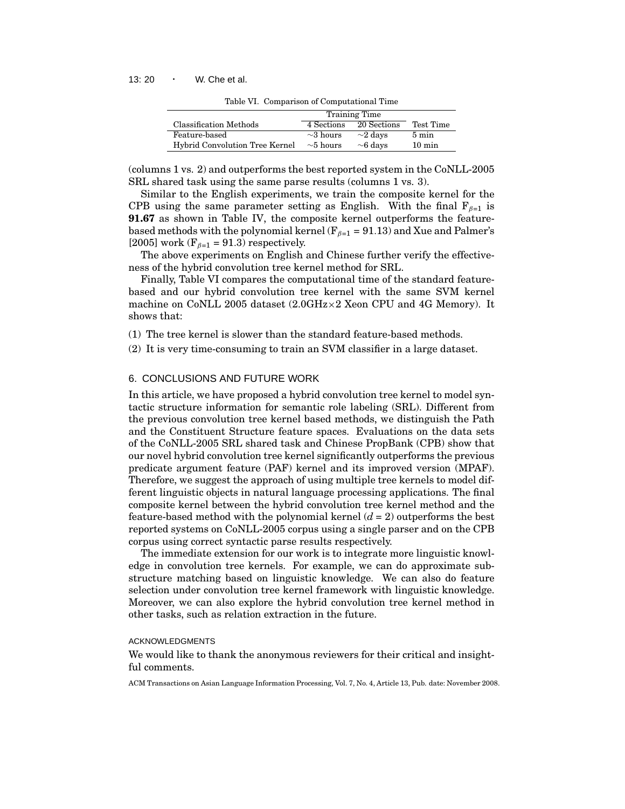|                                       | Training Time  |               |                  |
|---------------------------------------|----------------|---------------|------------------|
| <b>Classification Methods</b>         | 4 Sections     | 20 Sections   | Test Time        |
| Feature-based                         | $\sim$ 3 hours | $\sim$ 2 davs | $5 \text{ min}$  |
| <b>Hybrid Convolution Tree Kernel</b> | $\sim$ 5 hours | $\sim$ 6 days | $10 \text{ min}$ |

Table VI. Comparison of Computational Time

(columns 1 vs. 2) and outperforms the best reported system in the CoNLL-2005 SRL shared task using the same parse results (columns 1 vs. 3).

Similar to the English experiments, we train the composite kernel for the CPB using the same parameter setting as English. With the final  $F_{\beta=1}$  is **91.67** as shown in Table IV, the composite kernel outperforms the featurebased methods with the polynomial kernel ( $F_{\beta=1} = 91.13$ ) and Xue and Palmer's [2005] work ( $F_{\beta=1}$  = 91.3) respectively.

The above experiments on English and Chinese further verify the effectiveness of the hybrid convolution tree kernel method for SRL.

Finally, Table VI compares the computational time of the standard featurebased and our hybrid convolution tree kernel with the same SVM kernel machine on CoNLL 2005 dataset (2.0GHz×2 Xeon CPU and 4G Memory). It shows that:

(1) The tree kernel is slower than the standard feature-based methods.

(2) It is very time-consuming to train an SVM classifier in a large dataset.

# 6. CONCLUSIONS AND FUTURE WORK

In this article, we have proposed a hybrid convolution tree kernel to model syntactic structure information for semantic role labeling (SRL). Different from the previous convolution tree kernel based methods, we distinguish the Path and the Constituent Structure feature spaces. Evaluations on the data sets of the CoNLL-2005 SRL shared task and Chinese PropBank (CPB) show that our novel hybrid convolution tree kernel significantly outperforms the previous predicate argument feature (PAF) kernel and its improved version (MPAF). Therefore, we suggest the approach of using multiple tree kernels to model different linguistic objects in natural language processing applications. The final composite kernel between the hybrid convolution tree kernel method and the feature-based method with the polynomial kernel  $(d = 2)$  outperforms the best reported systems on CoNLL-2005 corpus using a single parser and on the CPB corpus using correct syntactic parse results respectively.

The immediate extension for our work is to integrate more linguistic knowledge in convolution tree kernels. For example, we can do approximate substructure matching based on linguistic knowledge. We can also do feature selection under convolution tree kernel framework with linguistic knowledge. Moreover, we can also explore the hybrid convolution tree kernel method in other tasks, such as relation extraction in the future.

#### ACKNOWLEDGMENTS

We would like to thank the anonymous reviewers for their critical and insightful comments.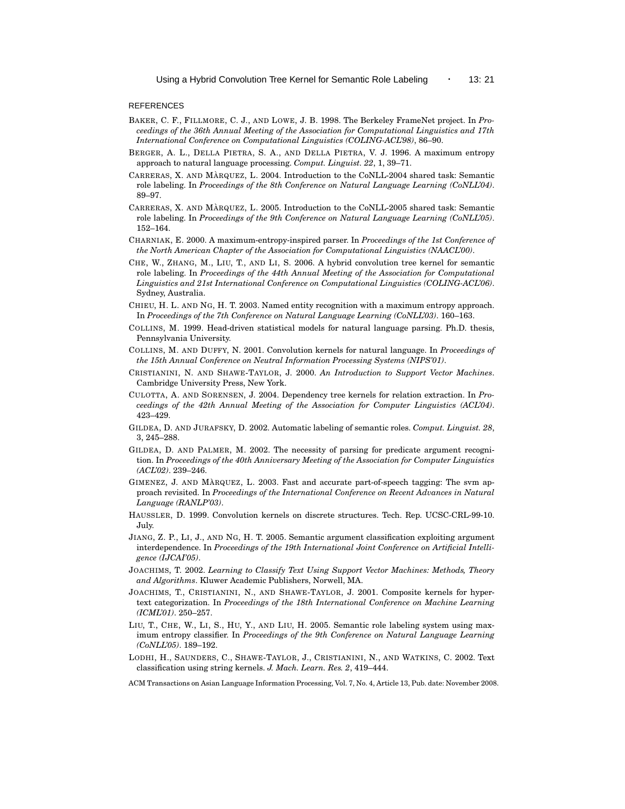#### REFERENCES

- BAKER, C. F., FILLMORE, C. J., AND LOWE, J. B. 1998. The Berkeley FrameNet project. In *Proceedings of the 36th Annual Meeting of the Association for Computational Linguistics and 17th International Conference on Computational Linguistics (COLING-ACL'98)*, 86–90.
- BERGER, A. L., DELLA PIETRA, S. A., AND DELLA PIETRA, V. J. 1996. A maximum entropy approach to natural language processing. *Comput. Linguist. 22*, 1, 39–71.
- CARRERAS, X. AND MARQUEZ, L. 2004. Introduction to the CoNLL-2004 shared task: Semantic role labeling. In *Proceedings of the 8th Conference on Natural Language Learning (CoNLL'04)*. 89–97.
- CARRERAS, X. AND MARQUEZ, L. 2005. Introduction to the CoNLL-2005 shared task: Semantic role labeling. In *Proceedings of the 9th Conference on Natural Language Learning (CoNLL'05)*. 152–164.
- CHARNIAK, E. 2000. A maximum-entropy-inspired parser. In *Proceedings of the 1st Conference of the North American Chapter of the Association for Computational Linguistics (NAACL'00)*.
- CHE, W., ZHANG, M., LIU, T., AND LI, S. 2006. A hybrid convolution tree kernel for semantic role labeling. In *Proceedings of the 44th Annual Meeting of the Association for Computational Linguistics and 21st International Conference on Computational Linguistics (COLING-ACL'06)*. Sydney, Australia.
- CHIEU, H. L. AND NG, H. T. 2003. Named entity recognition with a maximum entropy approach. In *Proceedings of the 7th Conference on Natural Language Learning (CoNLL'03)*. 160–163.
- COLLINS, M. 1999. Head-driven statistical models for natural language parsing. Ph.D. thesis, Pennsylvania University.
- COLLINS, M. AND DUFFY, N. 2001. Convolution kernels for natural language. In *Proceedings of the 15th Annual Conference on Neutral Information Processing Systems (NIPS'01)*.
- CRISTIANINI, N. AND SHAWE-TAYLOR, J. 2000. *An Introduction to Support Vector Machines*. Cambridge University Press, New York.
- CULOTTA, A. AND SORENSEN, J. 2004. Dependency tree kernels for relation extraction. In *Proceedings of the 42th Annual Meeting of the Association for Computer Linguistics (ACL'04)*. 423–429.
- GILDEA, D. AND JURAFSKY, D. 2002. Automatic labeling of semantic roles. *Comput. Linguist. 28*, 3, 245–288.
- GILDEA, D. AND PALMER, M. 2002. The necessity of parsing for predicate argument recognition. In *Proceedings of the 40th Anniversary Meeting of the Association for Computer Linguistics (ACL'02)*. 239–246.
- GIMENEZ, J. AND MARQUEZ, L. 2003. Fast and accurate part-of-speech tagging: The svm approach revisited. In *Proceedings of the International Conference on Recent Advances in Natural Language (RANLP'03)*.
- HAUSSLER, D. 1999. Convolution kernels on discrete structures. Tech. Rep. UCSC-CRL-99-10. July.
- JIANG, Z. P., LI, J., AND NG, H. T. 2005. Semantic argument classification exploiting argument interdependence. In *Proceedings of the 19th International Joint Conference on Artificial Intelligence (IJCAI'05)*.
- JOACHIMS, T. 2002. *Learning to Classify Text Using Support Vector Machines: Methods, Theory and Algorithms*. Kluwer Academic Publishers, Norwell, MA.
- JOACHIMS, T., CRISTIANINI, N., AND SHAWE-TAYLOR, J. 2001. Composite kernels for hypertext categorization. In *Proceedings of the 18th International Conference on Machine Learning (ICML'01)*. 250–257.
- LIU, T., CHE, W., LI, S., HU, Y., AND LIU, H. 2005. Semantic role labeling system using maximum entropy classifier. In *Proceedings of the 9th Conference on Natural Language Learning (CoNLL'05)*. 189–192.
- LODHI, H., SAUNDERS, C., SHAWE-TAYLOR, J., CRISTIANINI, N., AND WATKINS, C. 2002. Text classification using string kernels. *J. Mach. Learn. Res. 2*, 419–444.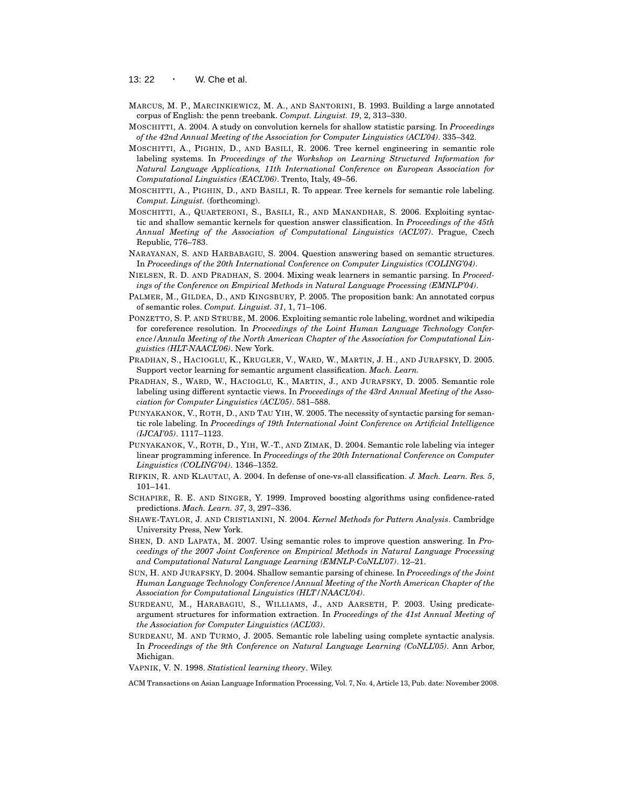13: 22 · W. Che et al.

- MARCUS, M. P., MARCINKIEWICZ, M. A., AND SANTORINI, B. 1993. Building a large annotated corpus of English: the penn treebank. *Comput. Linguist. 19*, 2, 313–330.
- MOSCHITTI, A. 2004. A study on convolution kernels for shallow statistic parsing. In *Proceedings of the 42nd Annual Meeting of the Association for Computer Linguistics (ACL'04)*. 335–342.
- MOSCHITTI, A., PIGHIN, D., AND BASILI, R. 2006. Tree kernel engineering in semantic role labeling systems. In *Proceedings of the Workshop on Learning Structured Information for Natural Language Applications, 11th International Conference on European Association for Computational Linguistics (EACL'06)*. Trento, Italy, 49–56.
- MOSCHITTI, A., PIGHIN, D., AND BASILI, R. To appear. Tree kernels for semantic role labeling. *Comput. Linguist.* (forthcoming).
- MOSCHITTI, A., QUARTERONI, S., BASILI, R., AND MANANDHAR, S. 2006. Exploiting syntactic and shallow semantic kernels for question answer classification. In *Proceedings of the 45th Annual Meeting of the Association of Computational Linguistics (ACL'07)*. Prague, Czech Republic, 776–783.
- NARAYANAN, S. AND HARBABAGIU, S. 2004. Question answering based on semantic structures. In *Proceedings of the 20th International Conference on Computer Linguistics (COLING'04)*.
- NIELSEN, R. D. AND PRADHAN, S. 2004. Mixing weak learners in semantic parsing. In *Proceedings of the Conference on Empirical Methods in Natural Language Processing (EMNLP'04)*.
- PALMER, M., GILDEA, D., AND KINGSBURY, P. 2005. The proposition bank: An annotated corpus of semantic roles. *Comput. Linguist. 31*, 1, 71–106.
- PONZETTO, S. P. AND STRUBE, M. 2006. Exploiting semantic role labeling, wordnet and wikipedia for coreference resolution. In *Proceedings of the Loint Human Language Technology Conference/Annula Meeting of the North American Chapter of the Association for Computational Linguistics (HLT-NAACL'06)*. New York.
- PRADHAN, S., HACIOGLU, K., KRUGLER, V., WARD, W., MARTIN, J. H., AND JURAFSKY, D. 2005. Support vector learning for semantic argument classification. *Mach. Learn.*
- PRADHAN, S., WARD, W., HACIOGLU, K., MARTIN, J., AND JURAFSKY, D. 2005. Semantic role labeling using different syntactic views. In *Proceedings of the 43rd Annual Meeting of the Association for Computer Linguistics (ACL'05)*. 581–588.
- PUNYAKANOK, V., ROTH, D., AND TAU YIH, W. 2005. The necessity of syntactic parsing for semantic role labeling. In *Proceedings of 19th International Joint Conference on Artificial Intelligence (IJCAI'05)*. 1117–1123.
- PUNYAKANOK, V., ROTH, D., YIH, W.-T., AND ZIMAK, D. 2004. Semantic role labeling via integer linear programming inference. In *Proceedings of the 20th International Conference on Computer Linguistics (COLING'04)*. 1346–1352.
- RIFKIN, R. AND KLAUTAU, A. 2004. In defense of one-vs-all classification. *J. Mach. Learn. Res. 5*, 101–141.
- SCHAPIRE, R. E. AND SINGER, Y. 1999. Improved boosting algorithms using confidence-rated predictions. *Mach. Learn. 37*, 3, 297–336.
- SHAWE-TAYLOR, J. AND CRISTIANINI, N. 2004. *Kernel Methods for Pattern Analysis*. Cambridge University Press, New York.
- SHEN, D. AND LAPATA, M. 2007. Using semantic roles to improve question answering. In *Proceedings of the 2007 Joint Conference on Empirical Methods in Natural Language Processing and Computational Natural Language Learning (EMNLP-CoNLL'07)*. 12–21.
- SUN, H. AND JURAFSKY, D. 2004. Shallow semantic parsing of chinese. In *Proceedings of the Joint Human Language Technology Conference/Annual Meeting of the North American Chapter of the Association for Computational Linguistics (HLT/NAACL'04)*.
- SURDEANU, M., HARABAGIU, S., WILLIAMS, J., AND AARSETH, P. 2003. Using predicateargument structures for information extraction. In *Proceedings of the 41st Annual Meeting of the Association for Computer Linguistics (ACL'03)*.
- SURDEANU, M. AND TURMO, J. 2005. Semantic role labeling using complete syntactic analysis. In *Proceedings of the 9th Conference on Natural Language Learning (CoNLL'05)*. Ann Arbor, Michigan.
- VAPNIK, V. N. 1998. *Statistical learning theory*. Wiley.